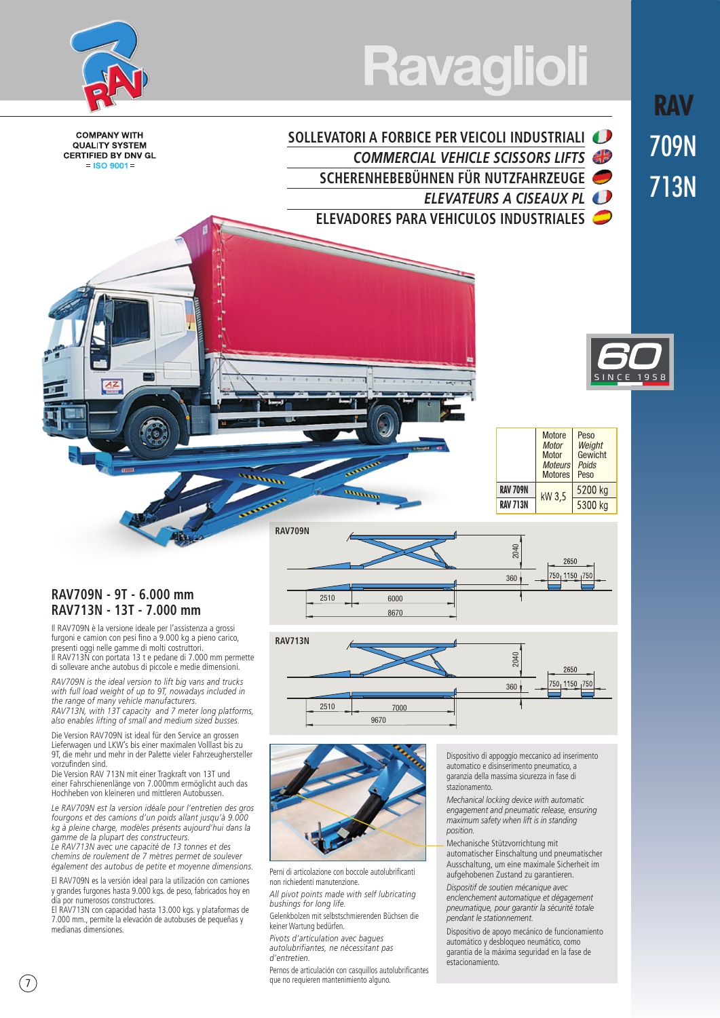# **Ravaglioli**

*COMMERCIAL VEHICLE SCISSORS LIFTS* 

*ELEVATEURS A CISEAUX PL*

**SCHERENHEBEBÜHNEN FÜR NUTZFAHRZEUGE**

**ELEVADORES PARA VEHICULOS INDUSTRIALES**

**SOLLEVATORI A FORBICE PER VEICOLI INDUSTRIALI** 



**COMPANY WITH QUALITY SYSTEM CERTIFIED BY DNV GL**  $=$  ISO 9001 =

**RAV**

709N

713N

# SINCE 1958

|                 | <b>Motore</b><br><b>Motor</b><br>Motor<br><b>Moteurs</b><br><b>Motores</b> | Peso<br>Weight<br>Gewicht<br>Poids<br>Peso |
|-----------------|----------------------------------------------------------------------------|--------------------------------------------|
| <b>RAV 709N</b> | kW 3.5                                                                     | 5200 kg                                    |
| <b>RAV 713N</b> |                                                                            | 5300 kg                                    |



Il RAV709N è la versione ideale per l'assistenza a grossi furgoni e camion con pesi fino a 9.000 kg a pieno carico, presenti oggi nelle gamme di molti costruttori. Il RAV713N con portata 13 t e pedane di 7.000 mm permette di sollevare anche autobus di piccole e medie dimensioni.

*RAV709N is the ideal version to lift big vans and trucks with full load weight of up to 9T, nowadays included in the range of many vehicle manufacturers. RAV713N, with 13T capacity and 7 meter long platforms, also enables lifting of small and medium sized busses.*

Die Version RAV709N ist ideal für den Service an grossen Lieferwagen und LKW's bis einer maximalen Volllast bis zu 9T, die mehr und mehr in der Palette vieler Fahrzeughersteller vorzufinden sind.

Die Version RAV 713N mit einer Tragkraft von 13T und einer Fahrschienenlänge von 7.000mm ermöglicht auch das Hochheben von kleineren und mittleren Autobussen.

*Le RAV709N est la version idéale pour l'entretien des gros fourgons et des camions d'un poids allant jusqu'à 9.000 kg à pleine charge, modèles présents aujourd'hui dans la gamme de la plupart des constructeurs.*

*Le RAV713N avec une capacité de 13 tonnes et des chemins de roulement de 7 mètres permet de soulever également des autobus de petite et moyenne dimensions.*

El RAV709N es la versión ideal para la utilización con camiones y grandes furgones hasta 9.000 kgs. de peso, fabricados hoy en día por numerosos constructores.

El RAV713N con capacidad hasta 13.000 kgs. y plataformas de 7.000 mm., permite la elevación de autobuses de pequeñas y medianas dimensiones.







Perni di articolazione con boccole autolubrificanti non richiedenti manutenzione

*All pivot points made with self lubricating bushings for long life.*

Gelenkbolzen mit selbstschmierenden Büchsen die keiner Wartung bedürfen.

*Pivots d'articulation avec bagues autolubrifiantes, ne nécessitant pas d'entretien.*

Pernos de articulación con casquillos autolubrificantes que no requieren mantenimiento alguno.

Dispositivo di appoggio meccanico ad inserimento automatico e disinserimento pneumatico, a garanzia della massima sicurezza in fase di stazionamento.

*Mechanical locking device with automatic engagement and pneumatic release, ensuring maximum safety when lift is in standing position.*

Mechanische Stützvorrichtung mit automatischer Einschaltung und pneumatischer Ausschaltung, um eine maximale Sicherheit im aufgehobenen Zustand zu garantieren.

*Dispositif de soutien mécanique avec enclenchement automatique et dégagement pneumatique, pour garantir la sécurité totale pendant le stationnement.*

Dispositivo de apoyo mecánico de funcionamiento automático y desbloqueo neumático, como garantia de la máxima seguridad en la fase de estacionamiento.